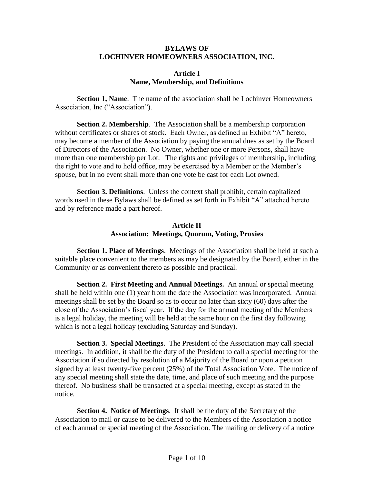#### **BYLAWS OF LOCHINVER HOMEOWNERS ASSOCIATION, INC.**

#### **Article I Name, Membership, and Definitions**

**Section 1, Name**. The name of the association shall be Lochinver Homeowners Association, Inc ("Association").

**Section 2. Membership**. The Association shall be a membership corporation without certificates or shares of stock. Each Owner, as defined in Exhibit "A" hereto, may become a member of the Association by paying the annual dues as set by the Board of Directors of the Association. No Owner, whether one or more Persons, shall have more than one membership per Lot. The rights and privileges of membership, including the right to vote and to hold office, may be exercised by a Member or the Member's spouse, but in no event shall more than one vote be cast for each Lot owned.

**Section 3. Definitions**. Unless the context shall prohibit, certain capitalized words used in these Bylaws shall be defined as set forth in Exhibit "A" attached hereto and by reference made a part hereof.

### **Article II Association: Meetings, Quorum, Voting, Proxies**

**Section 1. Place of Meetings**. Meetings of the Association shall be held at such a suitable place convenient to the members as may be designated by the Board, either in the Community or as convenient thereto as possible and practical.

**Section 2. First Meeting and Annual Meetings.** An annual or special meeting shall be held within one (1) year from the date the Association was incorporated. Annual meetings shall be set by the Board so as to occur no later than sixty (60) days after the close of the Association's fiscal year. If the day for the annual meeting of the Members is a legal holiday, the meeting will be held at the same hour on the first day following which is not a legal holiday (excluding Saturday and Sunday).

**Section 3. Special Meetings**. The President of the Association may call special meetings. In addition, it shall be the duty of the President to call a special meeting for the Association if so directed by resolution of a Majority of the Board or upon a petition signed by at least twenty-five percent (25%) of the Total Association Vote. The notice of any special meeting shall state the date, time, and place of such meeting and the purpose thereof. No business shall be transacted at a special meeting, except as stated in the notice.

**Section 4. Notice of Meetings**. It shall be the duty of the Secretary of the Association to mail or cause to be delivered to the Members of the Association a notice of each annual or special meeting of the Association. The mailing or delivery of a notice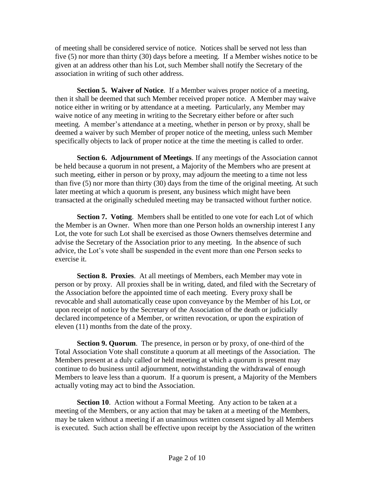of meeting shall be considered service of notice. Notices shall be served not less than five (5) nor more than thirty (30) days before a meeting. If a Member wishes notice to be given at an address other than his Lot, such Member shall notify the Secretary of the association in writing of such other address.

**Section 5. Waiver of Notice**. If a Member waives proper notice of a meeting, then it shall be deemed that such Member received proper notice. A Member may waive notice either in writing or by attendance at a meeting. Particularly, any Member may waive notice of any meeting in writing to the Secretary either before or after such meeting. A member's attendance at a meeting, whether in person or by proxy, shall be deemed a waiver by such Member of proper notice of the meeting, unless such Member specifically objects to lack of proper notice at the time the meeting is called to order.

**Section 6. Adjournment of Meetings**. If any meetings of the Association cannot be held because a quorum in not present, a Majority of the Members who are present at such meeting, either in person or by proxy, may adjourn the meeting to a time not less than five (5) nor more than thirty (30) days from the time of the original meeting. At such later meeting at which a quorum is present, any business which might have been transacted at the originally scheduled meeting may be transacted without further notice.

**Section 7. Voting**. Members shall be entitled to one vote for each Lot of which the Member is an Owner. When more than one Person holds an ownership interest I any Lot, the vote for such Lot shall be exercised as those Owners themselves determine and advise the Secretary of the Association prior to any meeting. In the absence of such advice, the Lot's vote shall be suspended in the event more than one Person seeks to exercise it.

**Section 8. Proxies**. At all meetings of Members, each Member may vote in person or by proxy. All proxies shall be in writing, dated, and filed with the Secretary of the Association before the appointed time of each meeting. Every proxy shall be revocable and shall automatically cease upon conveyance by the Member of his Lot, or upon receipt of notice by the Secretary of the Association of the death or judicially declared incompetence of a Member, or written revocation, or upon the expiration of eleven (11) months from the date of the proxy.

**Section 9. Quorum**. The presence, in person or by proxy, of one-third of the Total Association Vote shall constitute a quorum at all meetings of the Association. The Members present at a duly called or held meeting at which a quorum is present may continue to do business until adjournment, notwithstanding the withdrawal of enough Members to leave less than a quorum. If a quorum is present, a Majority of the Members actually voting may act to bind the Association.

**Section 10.** Action without a Formal Meeting. Any action to be taken at a meeting of the Members, or any action that may be taken at a meeting of the Members, may be taken without a meeting if an unanimous written consent signed by all Members is executed. Such action shall be effective upon receipt by the Association of the written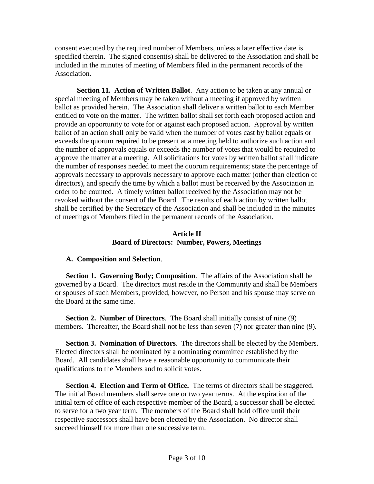consent executed by the required number of Members, unless a later effective date is specified therein. The signed consent(s) shall be delivered to the Association and shall be included in the minutes of meeting of Members filed in the permanent records of the Association.

**Section 11. Action of Written Ballot**. Any action to be taken at any annual or special meeting of Members may be taken without a meeting if approved by written ballot as provided herein. The Association shall deliver a written ballot to each Member entitled to vote on the matter. The written ballot shall set forth each proposed action and provide an opportunity to vote for or against each proposed action. Approval by written ballot of an action shall only be valid when the number of votes cast by ballot equals or exceeds the quorum required to be present at a meeting held to authorize such action and the number of approvals equals or exceeds the number of votes that would be required to approve the matter at a meeting. All solicitations for votes by written ballot shall indicate the number of responses needed to meet the quorum requirements; state the percentage of approvals necessary to approvals necessary to approve each matter (other than election of directors), and specify the time by which a ballot must be received by the Association in order to be counted. A timely written ballot received by the Association may not be revoked without the consent of the Board. The results of each action by written ballot shall be certified by the Secretary of the Association and shall be included in the minutes of meetings of Members filed in the permanent records of the Association.

#### **Article II Board of Directors: Number, Powers, Meetings**

### **A. Composition and Selection**.

**Section 1. Governing Body; Composition**. The affairs of the Association shall be governed by a Board. The directors must reside in the Community and shall be Members or spouses of such Members, provided, however, no Person and his spouse may serve on the Board at the same time.

**Section 2. Number of Directors**. The Board shall initially consist of nine (9) members. Thereafter, the Board shall not be less than seven (7) nor greater than nine (9).

**Section 3. Nomination of Directors**. The directors shall be elected by the Members. Elected directors shall be nominated by a nominating committee established by the Board. All candidates shall have a reasonable opportunity to communicate their qualifications to the Members and to solicit votes.

**Section 4. Election and Term of Office.** The terms of directors shall be staggered. The initial Board members shall serve one or two year terms. At the expiration of the initial tern of office of each respective member of the Board, a successor shall be elected to serve for a two year term. The members of the Board shall hold office until their respective successors shall have been elected by the Association. No director shall succeed himself for more than one successive term.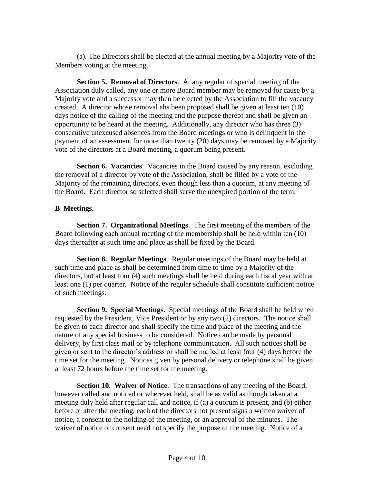(a). The Directors shall be elected at the annual meeting by a Majority vote of the Members voting at the meeting.

**Section 5. Removal of Directors**. At any regular of special meeting of the Association duly called, any one or more Board member may be removed for cause by a Majority vote and a successor may then be elected by the Association to fill the vacancy created. A director whose removal ahs been proposed shall be given at least ten (10) days notice of the calling of the meeting and the purpose thereof and shall be given an opportunity to be heard at the meeting. Additionally, any director who has three (3) consecutive unexcused absences from the Board meetings or who is delinquent in the payment of an assessment for more than twenty (20) days may be removed by a Majority vote of the directors at a Board meeting, a quorum being present.

**Section 6. Vacancies**. Vacancies in the Board caused by any reason, excluding the removal of a director by vote of the Association, shall be filled by a vote of the Majority of the remaining directors, even though less than a quorum, at any meeting of the Board. Each director so selected shall serve the unexpired portion of the term.

### **B Meetings.**

**Section 7. Organizational Meetings**. The first meeting of the members of the Board following each annual meeting of the membership shall be held within ten (10) days thereafter at such time and place as shall be fixed by the Board.

**Section 8. Regular Meetings**. Regular meetings of the Board may be held at such time and place as shall be determined from time to time by a Majority of the directors, but at least four (4) such meetings shall be held during each fiscal year with at least one (1) per quarter. Notice of the regular schedule shall constitute sufficient notice of such meetings.

**Section 9. Special Meetings**. Special meetings of the Board shall be held when requested by the President, Vice President or by any two (2) directors. The notice shall be given to each director and shall specify the time and place of the meeting and the nature of any special business to be considered. Notice can be made by personal delivery, by first class mail or by telephone communication. All such notices shall be given or sent to the director's address or shall be mailed at least four (4) days before the time set for the meeting. Notices given by personal delivery or telephone shall be given at least 72 hours before the time set for the meeting.

**Section 10. Waiver of Notice**. The transactions of any meeting of the Board, however called and noticed or wherever held, shall be as valid as though taken at a meeting duly held after regular call and notice, if (a) a quorum is present, and (b) either before or after the meeting, each of the directors not present signs a written waiver of notice, a consent to the holding of the meeting, or an approval of the minutes. The waiver of notice or consent need not specify the purpose of the meeting. Notice of a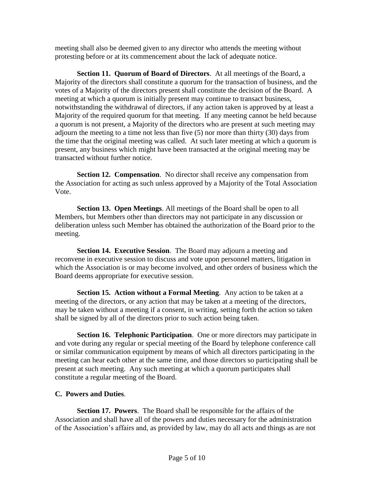meeting shall also be deemed given to any director who attends the meeting without protesting before or at its commencement about the lack of adequate notice.

**Section 11. Quorum of Board of Directors**. At all meetings of the Board, a Majority of the directors shall constitute a quorum for the transaction of business, and the votes of a Majority of the directors present shall constitute the decision of the Board. A meeting at which a quorum is initially present may continue to transact business, notwithstanding the withdrawal of directors, if any action taken is approved by at least a Majority of the required quorum for that meeting. If any meeting cannot be held because a quorum is not present, a Majority of the directors who are present at such meeting may adjourn the meeting to a time not less than five (5) nor more than thirty (30) days from the time that the original meeting was called. At such later meeting at which a quorum is present, any business which might have been transacted at the original meeting may be transacted without further notice.

**Section 12. Compensation**. No director shall receive any compensation from the Association for acting as such unless approved by a Majority of the Total Association Vote.

**Section 13. Open Meetings**. All meetings of the Board shall be open to all Members, but Members other than directors may not participate in any discussion or deliberation unless such Member has obtained the authorization of the Board prior to the meeting.

**Section 14. Executive Session**. The Board may adjourn a meeting and reconvene in executive session to discuss and vote upon personnel matters, litigation in which the Association is or may become involved, and other orders of business which the Board deems appropriate for executive session.

**Section 15. Action without a Formal Meeting**. Any action to be taken at a meeting of the directors, or any action that may be taken at a meeting of the directors, may be taken without a meeting if a consent, in writing, setting forth the action so taken shall be signed by all of the directors prior to such action being taken.

**Section 16. Telephonic Participation**. One or more directors may participate in and vote during any regular or special meeting of the Board by telephone conference call or similar communication equipment by means of which all directors participating in the meeting can hear each other at the same time, and those directors so participating shall be present at such meeting. Any such meeting at which a quorum participates shall constitute a regular meeting of the Board.

### **C. Powers and Duties**.

**Section 17. Powers**. The Board shall be responsible for the affairs of the Association and shall have all of the powers and duties necessary for the administration of the Association's affairs and, as provided by law, may do all acts and things as are not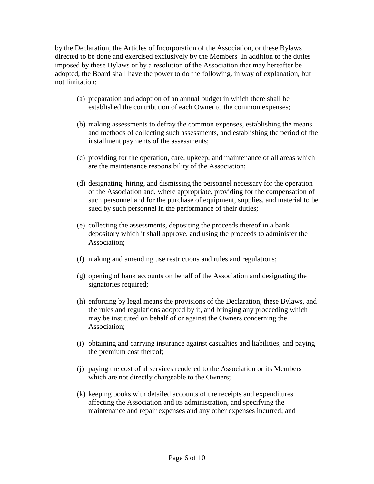by the Declaration, the Articles of Incorporation of the Association, or these Bylaws directed to be done and exercised exclusively by the Members In addition to the duties imposed by these Bylaws or by a resolution of the Association that may hereafter be adopted, the Board shall have the power to do the following, in way of explanation, but not limitation:

- (a) preparation and adoption of an annual budget in which there shall be established the contribution of each Owner to the common expenses;
- (b) making assessments to defray the common expenses, establishing the means and methods of collecting such assessments, and establishing the period of the installment payments of the assessments;
- (c) providing for the operation, care, upkeep, and maintenance of all areas which are the maintenance responsibility of the Association;
- (d) designating, hiring, and dismissing the personnel necessary for the operation of the Association and, where appropriate, providing for the compensation of such personnel and for the purchase of equipment, supplies, and material to be sued by such personnel in the performance of their duties;
- (e) collecting the assessments, depositing the proceeds thereof in a bank depository which it shall approve, and using the proceeds to administer the Association;
- (f) making and amending use restrictions and rules and regulations;
- (g) opening of bank accounts on behalf of the Association and designating the signatories required;
- (h) enforcing by legal means the provisions of the Declaration, these Bylaws, and the rules and regulations adopted by it, and bringing any proceeding which may be instituted on behalf of or against the Owners concerning the Association;
- (i) obtaining and carrying insurance against casualties and liabilities, and paying the premium cost thereof;
- (j) paying the cost of al services rendered to the Association or its Members which are not directly chargeable to the Owners;
- (k) keeping books with detailed accounts of the receipts and expenditures affecting the Association and its administration, and specifying the maintenance and repair expenses and any other expenses incurred; and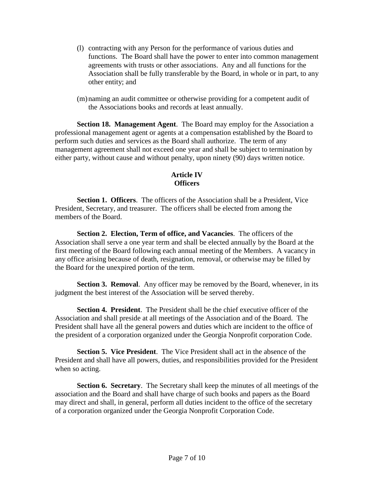- (l) contracting with any Person for the performance of various duties and functions. The Board shall have the power to enter into common management agreements with trusts or other associations. Any and all functions for the Association shall be fully transferable by the Board, in whole or in part, to any other entity; and
- (m)naming an audit committee or otherwise providing for a competent audit of the Associations books and records at least annually.

**Section 18. Management Agent**. The Board may employ for the Association a professional management agent or agents at a compensation established by the Board to perform such duties and services as the Board shall authorize. The term of any management agreement shall not exceed one year and shall be subject to termination by either party, without cause and without penalty, upon ninety (90) days written notice.

# **Article IV Officers**

**Section 1. Officers**. The officers of the Association shall be a President, Vice President, Secretary, and treasurer. The officers shall be elected from among the members of the Board.

**Section 2. Election, Term of office, and Vacancies**. The officers of the Association shall serve a one year term and shall be elected annually by the Board at the first meeting of the Board following each annual meeting of the Members. A vacancy in any office arising because of death, resignation, removal, or otherwise may be filled by the Board for the unexpired portion of the term.

**Section 3. Removal.** Any officer may be removed by the Board, whenever, in its judgment the best interest of the Association will be served thereby.

**Section 4. President**. The President shall be the chief executive officer of the Association and shall preside at all meetings of the Association and of the Board. The President shall have all the general powers and duties which are incident to the office of the president of a corporation organized under the Georgia Nonprofit corporation Code.

**Section 5. Vice President**. The Vice President shall act in the absence of the President and shall have all powers, duties, and responsibilities provided for the President when so acting.

**Section 6. Secretary**. The Secretary shall keep the minutes of all meetings of the association and the Board and shall have charge of such books and papers as the Board may direct and shall, in general, perform all duties incident to the office of the secretary of a corporation organized under the Georgia Nonprofit Corporation Code.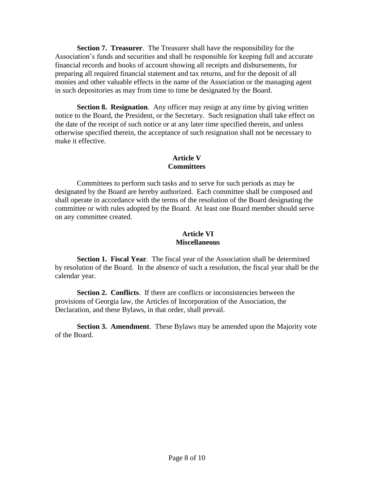**Section 7. Treasurer**. The Treasurer shall have the responsibility for the Association's funds and securities and shall be responsible for keeping full and accurate financial records and books of account showing all receipts and disbursements, for preparing all required financial statement and tax returns, and for the deposit of all monies and other valuable effects in the name of the Association or the managing agent in such depositories as may from time to time be designated by the Board.

**Section 8. Resignation**. Any officer may resign at any time by giving written notice to the Board, the President, or the Secretary. Such resignation shall take effect on the date of the receipt of such notice or at any later time specified therein, and unless otherwise specified therein, the acceptance of such resignation shall not be necessary to make it effective.

# **Article V Committees**

Committees to perform such tasks and to serve for such periods as may be designated by the Board are hereby authorized. Each committee shall be composed and shall operate in accordance with the terms of the resolution of the Board designating the committee or with rules adopted by the Board. At least one Board member should serve on any committee created.

### **Article VI Miscellaneous**

**Section 1. Fiscal Year**. The fiscal year of the Association shall be determined by resolution of the Board. In the absence of such a resolution, the fiscal year shall be the calendar year.

**Section 2. Conflicts**. If there are conflicts or inconsistencies between the provisions of Georgia law, the Articles of Incorporation of the Association, the Declaration, and these Bylaws, in that order, shall prevail.

**Section 3. Amendment**. These Bylaws may be amended upon the Majority vote of the Board.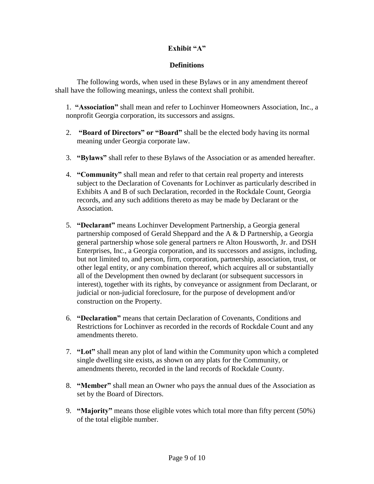# **Exhibit "A"**

# **Definitions**

The following words, when used in these Bylaws or in any amendment thereof shall have the following meanings, unless the context shall prohibit.

1. **"Association"** shall mean and refer to Lochinver Homeowners Association, Inc., a nonprofit Georgia corporation, its successors and assigns.

- 2. **"Board of Directors" or "Board"** shall be the elected body having its normal meaning under Georgia corporate law.
- 3. **"Bylaws"** shall refer to these Bylaws of the Association or as amended hereafter.
- 4. **"Community"** shall mean and refer to that certain real property and interests subject to the Declaration of Covenants for Lochinver as particularly described in Exhibits A and B of such Declaration, recorded in the Rockdale Count, Georgia records, and any such additions thereto as may be made by Declarant or the Association.
- 5. **"Declarant"** means Lochinver Development Partnership, a Georgia general partnership composed of Gerald Sheppard and the A & D Partnership, a Georgia general partnership whose sole general partners re Alton Housworth, Jr. and DSH Enterprises, Inc., a Georgia corporation, and its successors and assigns, including, but not limited to, and person, firm, corporation, partnership, association, trust, or other legal entity, or any combination thereof, which acquires all or substantially all of the Development then owned by declarant (or subsequent successors in interest), together with its rights, by conveyance or assignment from Declarant, or judicial or non-judicial foreclosure, for the purpose of development and/or construction on the Property.
- 6. **"Declaration"** means that certain Declaration of Covenants, Conditions and Restrictions for Lochinver as recorded in the records of Rockdale Count and any amendments thereto.
- 7. **"Lot"** shall mean any plot of land within the Community upon which a completed single dwelling site exists, as shown on any plats for the Community, or amendments thereto, recorded in the land records of Rockdale County.
- 8. **"Member"** shall mean an Owner who pays the annual dues of the Association as set by the Board of Directors.
- 9. **"Majority"** means those eligible votes which total more than fifty percent (50%) of the total eligible number.